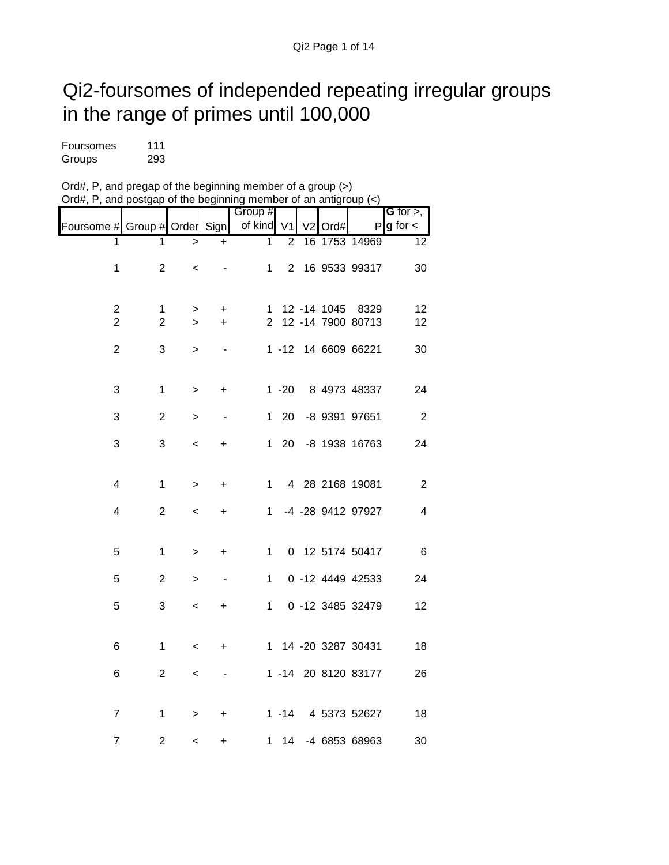## Qi2-foursomes of independed repeating irregular groups in the range of primes until 100,000

| Foursomes | 111 |
|-----------|-----|
| Groups    | 293 |

| Ord#, P, and pregap of the beginning member of a group $(>)$                                       |  |
|----------------------------------------------------------------------------------------------------|--|
| Ord#, P, and postgap of the beginning member of an antigroup $\left\langle \epsilon \right\rangle$ |  |

|                                    |                |              |           | Group #      |          |    |             |                     | G for $>$ ,     |
|------------------------------------|----------------|--------------|-----------|--------------|----------|----|-------------|---------------------|-----------------|
|                                    |                |              |           | of kind      | V1       | V2 |             | P                   | $g$ for $\lt$   |
| Foursome # Group # Order Sign<br>1 | 1              |              |           | 1            | 2        |    | Ord#        | 16 1753 14969       |                 |
|                                    |                | $\mathbf{r}$ | ÷         |              |          |    |             |                     | 12              |
| 1                                  | $\overline{2}$ | $\,<\,$      |           | 1            |          |    |             | 2 16 9533 99317     | 30              |
|                                    |                |              |           |              |          |    |             |                     |                 |
|                                    |                |              |           |              |          |    |             |                     |                 |
| $\overline{2}$                     | 1              | >            | $\ddot{}$ | 1            |          |    | 12 -14 1045 | 8329                | 12              |
| $\overline{2}$                     | $\overline{2}$ | $\geq$       | $\ddot{}$ |              |          |    |             | 2 12 -14 7900 80713 | 12              |
|                                    |                |              |           |              |          |    |             |                     |                 |
| $\overline{2}$                     | 3              | >            |           |              |          |    |             | 1 -12 14 6609 66221 | 30              |
|                                    |                |              |           |              |          |    |             |                     |                 |
|                                    |                |              |           |              |          |    |             |                     |                 |
| 3                                  | 1              | >            | +         |              | $1 - 20$ |    |             | 8 4973 48337        | 24              |
| 3                                  | $\overline{2}$ |              |           | $\mathbf{1}$ | -20      |    |             | -8 9391 97651       | $\overline{2}$  |
|                                    |                | >            |           |              |          |    |             |                     |                 |
| 3                                  | 3              | $\,<\,$      | +         | $\mathbf 1$  | 20       |    |             | -8 1938 16763       | 24              |
|                                    |                |              |           |              |          |    |             |                     |                 |
|                                    |                |              |           |              |          |    |             |                     |                 |
| $\overline{\mathbf{4}}$            | 1              | >            | +         | $\mathbf 1$  |          |    |             | 4 28 2168 19081     | $\overline{2}$  |
|                                    |                |              |           |              |          |    |             |                     |                 |
| 4                                  | $\overline{2}$ | $\,<\,$      | +         | 1.           |          |    |             | -4 -28 9412 97927   | 4               |
|                                    |                |              |           |              |          |    |             |                     |                 |
|                                    |                |              |           |              |          |    |             |                     |                 |
| 5                                  | $\mathbf{1}$   | >            | +         | 1            |          |    |             | 0 12 5174 50417     | $6\phantom{1}6$ |
| 5                                  | $\overline{2}$ |              |           | $\mathbf 1$  |          |    |             | 0 -12 4449 42533    | 24              |
|                                    |                | >            |           |              |          |    |             |                     |                 |
| 5                                  | 3              | $\,<\,$      | +         | $1 \quad$    |          |    |             | 0 -12 3485 32479    | 12              |
|                                    |                |              |           |              |          |    |             |                     |                 |
|                                    |                |              |           |              |          |    |             |                     |                 |
| 6                                  | 1              | $\,<\,$      | +         |              |          |    |             | 1 14 -20 3287 30431 | 18              |
|                                    |                |              |           |              |          |    |             |                     |                 |
| 6                                  | $\overline{2}$ | $\,<\,$      | ٠         |              |          |    |             | 1 -14 20 8120 83177 | 26              |
|                                    |                |              |           |              |          |    |             |                     |                 |
|                                    |                |              |           |              |          |    |             |                     |                 |
| $\overline{7}$                     | 1              | >            | +         |              |          |    |             | 1 -14 4 5373 52627  | 18              |
|                                    |                |              |           |              |          |    |             |                     |                 |
| $\overline{7}$                     | 2              | $\,<$        | +         | 1            | 14       |    |             | -4 6853 68963       | 30              |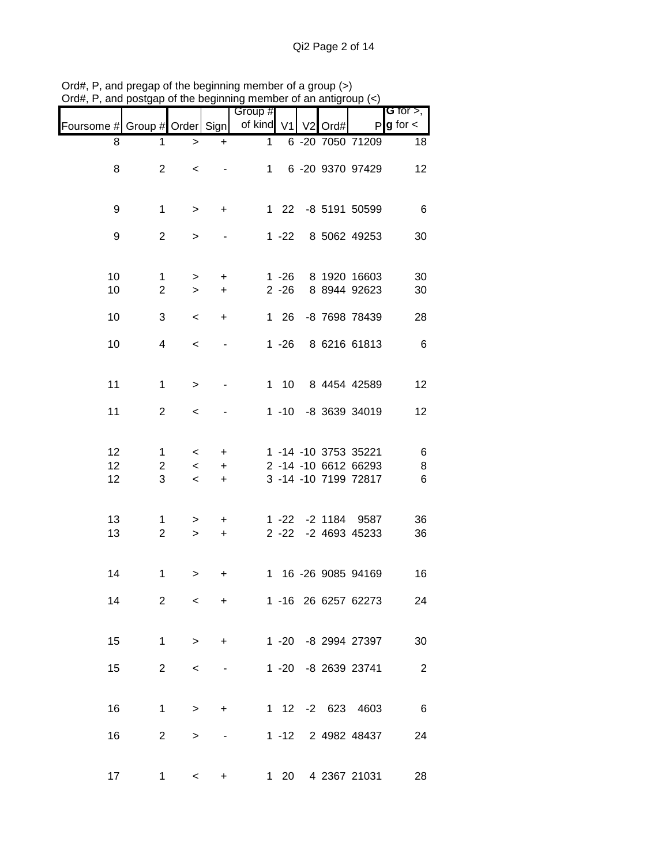|                               |                     |                 |                           | Group #      |                      |                     |                              | <b>G</b> for $>$ ,     |
|-------------------------------|---------------------|-----------------|---------------------------|--------------|----------------------|---------------------|------------------------------|------------------------|
| Foursome # Group # Order Sign |                     |                 |                           | of kind V1   |                      | V <sub>2</sub> Ord# |                              | $P$ <b>g</b> for $\lt$ |
| 8                             | 1                   | $\, > \,$       | $\ddot{}$                 | $\mathbf{1}$ |                      |                     | 6 -20 7050 71209             | 18                     |
| 8                             | $\overline{2}$      | $\,<\,$         |                           | 1            |                      |                     | 6 -20 9370 97429             | 12                     |
| 9                             | $\mathbf{1}$        | $\, > \,$       | $+$                       |              |                      |                     | 1 22 -8 5191 50599           | 6                      |
| 9                             | $\overline{2}$      | >               |                           |              | $1 - 22$             |                     | 8 5062 49253                 | 30                     |
| 10<br>10                      | 1<br>$\overline{2}$ | $\,>$<br>$\geq$ | +<br>$\ddot{}$            |              | $1 - 26$<br>$2 - 26$ |                     | 8 1920 16603<br>8 8944 92623 | 30<br>30               |
| 10                            | 3                   | $\prec$         | $\ddot{}$                 |              | $126$                |                     | -8 7698 78439                | 28                     |
| 10                            | 4                   | $\,<\,$         |                           |              | $1 - 26$             |                     | 8 6216 61813                 | 6                      |
| 11                            | $\mathbf{1}$        | $\, > \,$       |                           |              | $1\quad10$           |                     | 8 4454 42589                 | 12                     |
| 11                            | $\overline{2}$      | $\,<\,$         |                           |              |                      |                     | 1 -10 -8 3639 34019          | 12                     |
| 12                            | 1                   | $\,<\,$         | +                         |              |                      |                     | 1 -14 -10 3753 35221         | 6                      |
| 12                            | $\overline{c}$      | $\,<\,$         | $+$                       |              |                      |                     | 2 -14 -10 6612 66293         | 8                      |
| 12                            | 3                   | $\,<\,$         | $\ddot{}$                 |              |                      |                     | 3 -14 -10 7199 72817         | 6                      |
| 13                            | 1                   | >               | $\ddot{}$                 |              |                      |                     | 1 -22 -2 1184 9587           | 36                     |
| 13                            | $\overline{2}$      | $\geq$          | $\ddot{}$                 |              |                      |                     | 2 -22 -2 4693 45233          | 36                     |
| 14                            | $\mathbf 1$         | >               | +                         |              |                      |                     | 1 16 -26 9085 94169          | 16                     |
| 14                            | 2                   | $\,<\,$         | $\ddot{}$                 |              |                      |                     | 1 -16 26 6257 62273          | 24                     |
| 15                            | $\mathbf 1$         | $\geq$          |                           | $+$          |                      |                     | 1 -20 -8 2994 27397          | 30                     |
| 15                            | $2^{\circ}$         | $\,<\,$         |                           |              |                      |                     | 1 -20 -8 2639 23741          | $\overline{2}$         |
| 16                            | $\mathbf 1$         | $\geq$          | $\ddot{}$                 |              |                      |                     | 1 12 -2 623 4603             | 6                      |
| 16                            | $\overline{2}$      | $\, > \,$       |                           |              |                      |                     | 1 -12 2 4982 48437           | 24                     |
| 17                            |                     | $1 \quad \Box$  | $\ddot{}$<br>$\lt$ $\sim$ |              |                      |                     | 1 20 4 2367 21031            | 28                     |

Ord#, P, and pregap of the beginning member of a group (>) Ord#, P, and postgap of the beginning member of an antigroup (<)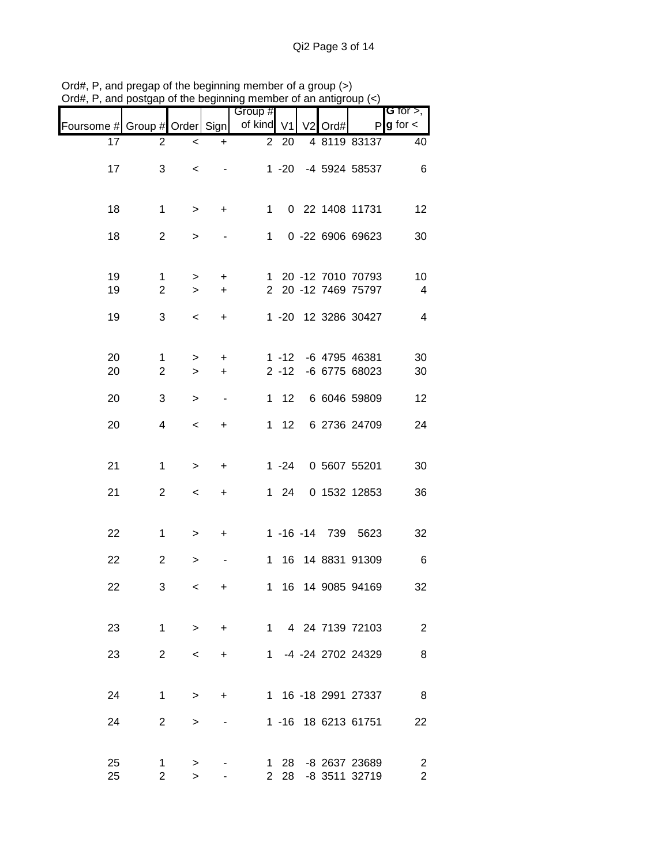|                               |                                |                 |                   | Group #      |              |                |      |                                     | G for $>$ ,                               |
|-------------------------------|--------------------------------|-----------------|-------------------|--------------|--------------|----------------|------|-------------------------------------|-------------------------------------------|
| Foursome # Group # Order Sign |                                |                 |                   | of kind V1   |              | V <sub>2</sub> | Ord# | Р                                   | $g$ for $\lt$                             |
| 17                            | 2                              | $\,<$           | $\ddot{}$         |              | 2 20         |                |      | 4 8119 83137                        | 40                                        |
| 17                            | 3                              | $\,<\,$         |                   |              |              |                |      | 1 -20 -4 5924 58537                 | 6                                         |
| 18                            | $\mathbf 1$                    | $\, > \,$       | $\ddot{}$         | 1            |              |                |      | 0 22 1408 11731                     | 12                                        |
| 18                            | $\overline{2}$                 | >               |                   | 1            |              |                |      | 0 -22 6906 69623                    | 30                                        |
| 19                            | $\mathbf{1}$                   | $\, > \,$       | +                 | 1            |              |                |      | 20 -12 7010 70793                   | 10                                        |
| 19                            | $\overline{2}$                 | $\, > \,$       | $\ddot{}$         |              |              |                |      | 2 20 -12 7469 75797                 | $\overline{4}$                            |
| 19                            | 3                              | $\,<\,$         | $\ddot{}$         |              |              |                |      | 1 -20 12 3286 30427                 | 4                                         |
| 20                            | $\mathbf{1}$                   | >               | +                 |              | 1 -12        |                |      | -6 4795 46381                       | 30                                        |
| 20                            | $\overline{2}$                 | $\geq$          | $\ddot{}$         |              | $2 - 12$     |                |      | -6 6775 68023                       | 30                                        |
| 20                            | 3                              | $\, > \,$       |                   | 1            | 12           |                |      | 6 6046 59809                        | 12                                        |
| 20                            | 4                              | $\,<$           | $\ddot{}$         |              | $1 \quad 12$ |                |      | 6 2736 24709                        | 24                                        |
| 21                            | $\mathbf 1$                    | >               | $\ddot{}$         |              | $1 - 24$     |                |      | 0 5607 55201                        | 30                                        |
| 21                            | $\overline{2}$                 | $\,<\,$         | $\ddot{}$         |              | $1 \quad 24$ |                |      | 0 1532 12853                        | 36                                        |
| 22                            | $\mathbf 1$                    | $\, > \,$       | $\ddot{}$         |              |              |                |      | 1 -16 -14 739 5623                  | 32                                        |
| 22                            | $\overline{c}$                 | >               |                   | $\mathbf{1}$ | 16           |                |      | 14 8831 91309                       | 6                                         |
| 22                            | 3                              | $\,<$           | +                 | $\mathbf{1}$ | 16           |                |      | 14 9085 94169                       | 32                                        |
| 23                            | 1                              |                 | $+$<br>$>$ $\sim$ |              |              |                |      | 1 4 24 7139 72103                   | 2                                         |
| 23                            | $2^{\circ}$                    | $\prec$         | $+$               |              |              |                |      | 1 -4 -24 2702 24329                 | 8                                         |
| 24                            | $\mathbf 1$                    | $\geq$          | $\ddot{}$         |              |              |                |      | 1 16 -18 2991 27337                 | 8                                         |
| 24                            | $\overline{2}$                 | $\geq$          |                   |              |              |                |      | 1 -16 18 6213 61751                 | 22                                        |
| 25<br>25                      | $\mathbf{1}$<br>$\overline{2}$ | $\,>$<br>$\geq$ |                   |              | 2 28         |                |      | 1 28 -8 2637 23689<br>-8 3511 32719 | $\overline{\mathbf{c}}$<br>$\overline{2}$ |

Ord#, P, and pregap of the beginning member of a group (>) Ord#, P, and postgap of the beginning member of an antigroup (<)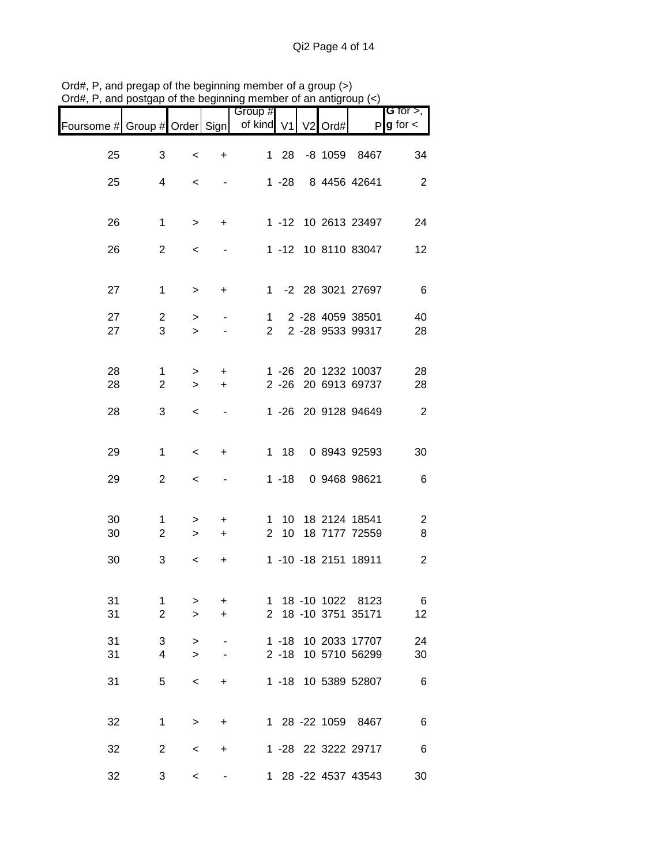| Jiu <del>n</del> , i , and posiyap |                               |             |                          | or are beginning member or an anagroup<br>Group # |          |                     |                                | G for $>$ ,         |
|------------------------------------|-------------------------------|-------------|--------------------------|---------------------------------------------------|----------|---------------------|--------------------------------|---------------------|
| Foursome # Group # Order Sign      |                               |             |                          | of kind                                           | V1       | V <sub>2</sub> Ord# | P                              | $g$ for $\lt$       |
| 25                                 | 3                             | $\,<$       | $\ddot{}$                |                                                   | $128$    | $-8$ 1059           | 8467                           | 34                  |
| 25                                 | 4                             | $\,<\,$     |                          |                                                   | $1 - 28$ |                     | 8 4456 42641                   | $\overline{2}$      |
| 26                                 | $\mathbf 1$                   | $\,>$       | $\ddot{}$                |                                                   |          |                     | 1 -12 10 2613 23497            | 24                  |
|                                    | $\overline{2}$                |             |                          |                                                   |          |                     | 1 -12 10 8110 83047            |                     |
| 26                                 |                               | $\,<$       |                          |                                                   |          |                     |                                | 12                  |
| 27                                 | $\mathbf 1$                   | $\, > \,$   | $\ddot{}$                |                                                   |          |                     | 1 -2 28 3021 27697             | 6                   |
| 27                                 | $\overline{2}$                | >           |                          | $\mathbf 1$                                       |          |                     | 2 -28 4059 38501               | 40                  |
| 27                                 | 3                             | $\geq$      |                          | $\overline{2}$                                    |          |                     | 2 -28 9533 99317               | 28                  |
| 28                                 | 1                             | >           | $\ddot{}$                |                                                   | $1 - 26$ |                     | 20 1232 10037                  | 28                  |
| 28                                 | $\overline{2}$                | $\geq$      | $\ddot{}$                |                                                   | $2 - 26$ |                     | 20 6913 69737                  | 28                  |
| 28                                 | 3                             | $\,<\,$     | $\overline{\phantom{a}}$ |                                                   |          |                     | 1 -26 20 9128 94649            | $\overline{2}$      |
| 29                                 | $\mathbf 1$                   | $\,<\,$     | $\ddot{}$                |                                                   | $1 18$   |                     | 0 8943 92593                   | 30                  |
| 29                                 | $\overline{2}$                | $\,<$       |                          |                                                   | $1 - 18$ |                     | 0 9468 98621                   | 6                   |
|                                    |                               |             |                          |                                                   |          |                     |                                |                     |
| 30<br>30                           | $\mathbf 1$<br>$\overline{2}$ | ><br>$\geq$ | +<br>$\ddot{}$           | 1.<br>$\overline{2}$                              | 10<br>10 |                     | 18 2124 18541<br>18 7177 72559 | $\overline{c}$<br>8 |
|                                    |                               |             |                          |                                                   |          |                     |                                |                     |
| 30                                 | 3                             | $\,<$       | +                        |                                                   |          |                     | 1 -10 -18 2151 18911           | 2                   |
| 31                                 | $\mathbf 1$                   | >           | $+$                      |                                                   |          |                     | 1 18 -10 1022 8123             | 6                   |
| 31                                 | $\overline{2}$                | $\geq$      | $+$                      |                                                   |          |                     | 2 18 -10 3751 35171            | 12                  |
| 31                                 | 3 <sup>7</sup>                | $\,$        | $\blacksquare$           |                                                   |          |                     | 1 -18 10 2033 17707            | 24                  |
| 31                                 | 4                             | $\geq$      | $\sim$                   |                                                   |          |                     | 2 -18 10 5710 56299            | 30                  |
| 31                                 | 5                             | $\,<\,$     | $\ddot{}$                |                                                   |          |                     | 1 -18 10 5389 52807            | 6                   |
| 32                                 | 1                             | $\geq$      | $\ddot{}$                |                                                   |          |                     | 1 28 -22 1059 8467             | 6                   |
| 32                                 | $2^{\circ}$                   | $\,<$       | $\ddot{}$                |                                                   |          |                     | 1 -28 22 3222 29717            | 6                   |
| 32                                 | 3                             | $\,<\,$     | $\blacksquare$           |                                                   |          |                     | 1 28 -22 4537 43543            | 30                  |

Ord#, P, and pregap of the beginning member of a group (>) Ord#, P, and postgap of the beginning member of an antigroup (<)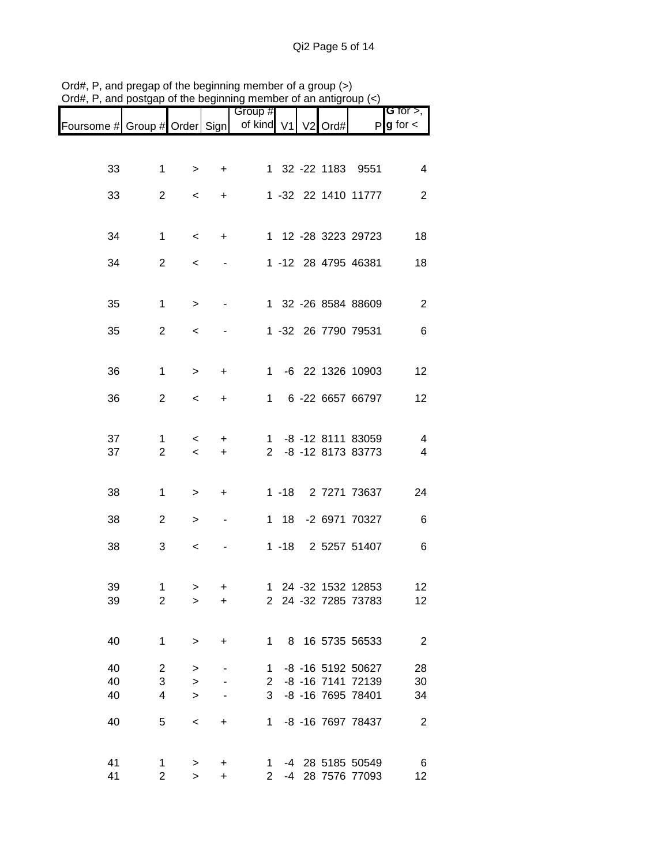|                               |                               |             |           | Group #              |          |                |      |                                      | <b>G</b> for $>$ , |
|-------------------------------|-------------------------------|-------------|-----------|----------------------|----------|----------------|------|--------------------------------------|--------------------|
| Foursome # Group # Order Sign |                               |             |           | of kind V1           |          | V <sub>2</sub> | Ord# |                                      | $P g$ for $\lt$    |
|                               |                               |             |           |                      |          |                |      |                                      |                    |
| 33                            | 1                             | $\geq$      | $\ddot{}$ |                      |          |                |      | 1 32 -22 1183 9551                   | 4                  |
| 33                            | $\mathbf{2}$                  |             |           |                      |          |                |      | 1 -32 22 1410 11777                  | $\overline{2}$     |
|                               |                               | $\,<\,$     | +         |                      |          |                |      |                                      |                    |
|                               |                               |             |           |                      |          |                |      |                                      |                    |
| 34                            | $\mathbf{1}$                  | $\,<\,$     | $\ddot{}$ |                      |          |                |      | 1 12 -28 3223 29723                  | 18                 |
| 34                            | $\mathbf{2}$                  | $\,<\,$     |           |                      |          |                |      | 1 -12 28 4795 46381                  | 18                 |
|                               |                               |             |           |                      |          |                |      |                                      |                    |
| 35                            | $\mathbf 1$                   | $\, > \,$   |           |                      |          |                |      | 1 32 -26 8584 88609                  | $\overline{2}$     |
|                               |                               |             |           |                      |          |                |      |                                      |                    |
| 35                            | $\overline{2}$                | <           |           |                      |          |                |      | 1 -32 26 7790 79531                  | 6                  |
|                               |                               |             |           |                      |          |                |      |                                      |                    |
| 36                            | 1                             | $\, > \,$   | +         | $1 \quad$            |          |                |      | -6 22 1326 10903                     | 12                 |
|                               |                               |             |           |                      |          |                |      |                                      |                    |
| 36                            | $\overline{2}$                | $\,<\,$     | +         | $\mathbf 1$          |          |                |      | 6 -22 6657 66797                     | 12                 |
|                               |                               |             |           |                      |          |                |      |                                      |                    |
| 37                            | $\mathbf 1$<br>$\overline{2}$ | $\,<\,$     | $\pm$     |                      |          |                |      | 1 -8 -12 8111 83059                  | $\overline{4}$     |
| 37                            |                               | $\,<\,$     | $\ddot{}$ |                      |          |                |      | 2 -8 -12 8173 83773                  | $\overline{4}$     |
|                               |                               |             |           |                      |          |                |      |                                      |                    |
| 38                            | $\mathbf 1$                   | >           | $\ddot{}$ |                      |          |                |      | 1 -18 2 7271 73637                   | 24                 |
| 38                            | $\overline{2}$                | >           | ٠         |                      | 1 18     |                |      | -2 6971 70327                        | 6                  |
|                               |                               |             |           |                      |          |                |      |                                      |                    |
| 38                            | 3                             | $\,<\,$     |           |                      | $1 - 18$ |                |      | 2 5257 51407                         | 6                  |
|                               |                               |             |           |                      |          |                |      |                                      |                    |
| 39                            | 1                             | >           | +         |                      |          |                |      | 1 24 -32 1532 12853                  | 12                 |
| 39                            | $\overline{c}$                | >           | +         |                      |          |                |      | 2 24 -32 7285 73783                  | 12                 |
|                               |                               |             |           |                      |          |                |      |                                      |                    |
| 40                            | $\mathbf{1}$                  | $\, > \,$   | $\ddot{}$ | $\mathbf{1}$         |          |                |      | 8 16 5735 56533                      | $\overline{2}$     |
| 40                            | $\overline{2}$                | >           |           | $\mathbf 1$          |          |                |      | -8 -16 5192 50627                    | 28                 |
| 40                            | 3                             | $\, > \,$   |           | $\overline{2}$       |          |                |      | -8 -16 7141 72139                    | 30                 |
| 40                            | $\overline{4}$                | $\geq$      |           | 3                    |          |                |      | -8 -16 7695 78401                    | 34                 |
| 40                            | 5                             | $\,<\,$     | +         | $\mathbf 1$          |          |                |      | -8 -16 7697 78437                    | $\overline{2}$     |
|                               |                               |             |           |                      |          |                |      |                                      |                    |
|                               |                               |             |           |                      |          |                |      |                                      |                    |
| 41<br>41                      | 1<br>$\overline{2}$           | ><br>$\geq$ | +<br>+    | 1.<br>$\overline{2}$ |          |                |      | -4 28 5185 50549<br>-4 28 7576 77093 | 6<br>12            |

Ord#, P, and pregap of the beginning member of a group (>) Ord#, P, and postgap of the beginning member of an antigroup (<)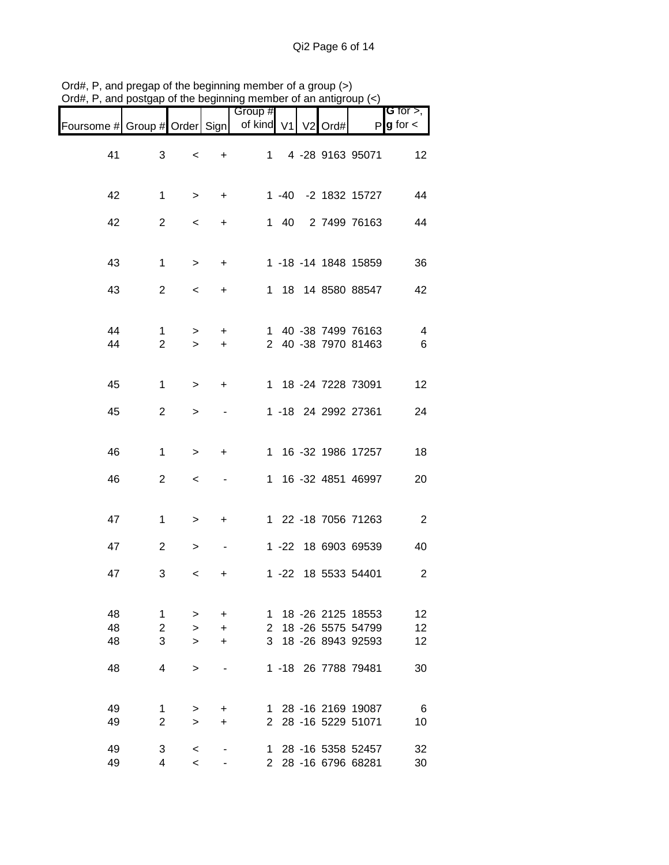| stall, to , alla poolgap      |                                |                                    |                         | $\alpha$ are beginning member or an anagroup $(\gamma)$ |              |  |                                                                                    |                                       |
|-------------------------------|--------------------------------|------------------------------------|-------------------------|---------------------------------------------------------|--------------|--|------------------------------------------------------------------------------------|---------------------------------------|
| Foursome # Group # Order Sign |                                |                                    |                         | Group #<br>of kind V1 V2 Ord#                           |              |  |                                                                                    | G for $>$ ,<br>$P$ <b>g</b> for $\lt$ |
| 41                            | 3                              | $\,<$                              | $\ddot{}$               | 1                                                       |              |  | 4 -28 9163 95071                                                                   | 12                                    |
| 42                            | $\mathbf 1$                    | $\, > \,$                          | +                       |                                                         |              |  | 1 -40 -2 1832 15727                                                                | 44                                    |
| 42                            | $\overline{2}$                 | $\,<\,$                            | $\ddot{}$               |                                                         | $1 \quad 40$ |  | 2 7499 76163                                                                       | 44                                    |
| 43                            | $\mathbf{1}$                   | $\,>$                              | $\ddot{}$               |                                                         |              |  | 1 -18 -14 1848 15859                                                               | 36                                    |
| 43                            | $\overline{2}$                 | $\,<\,$                            | $\ddot{}$               |                                                         |              |  | 1 18 14 8580 88547                                                                 | 42                                    |
| 44<br>44                      | $\mathbf{1}$<br>$\overline{2}$ | ><br>$\geq$                        | $\ddot{}$<br>$\ddot{}$  |                                                         |              |  | 1 40 -38 7499 76163<br>2 40 -38 7970 81463                                         | 4<br>6                                |
| 45                            | $\mathbf{1}$                   | $\,$                               | +                       |                                                         |              |  | 1 18 -24 7228 73091                                                                | 12                                    |
| 45                            | $\overline{2}$                 | >                                  |                         |                                                         |              |  | 1 -18 24 2992 27361                                                                | 24                                    |
| 46                            | $\mathbf{1}$                   | $\,$                               | $\ddot{}$               |                                                         |              |  | 1 16 -32 1986 17257                                                                | 18                                    |
| 46                            | $\mathbf{2}$                   | $\,<\,$                            |                         |                                                         |              |  | 1 16 -32 4851 46997                                                                | 20                                    |
| 47                            | $\mathbf 1$                    | $\, > \,$                          | +                       |                                                         |              |  | 1 22 -18 7056 71263                                                                | $\overline{2}$                        |
| 47                            | $\overline{2}$                 | $\, > \,$                          |                         |                                                         |              |  | 1 -22 18 6903 69539                                                                | 40                                    |
| 47                            | 3                              | $\,<\,$                            | +                       |                                                         |              |  | 1 -22 18 5533 54401                                                                | 2                                     |
| 48<br>48<br>48<br>48          | 1<br>$\overline{2}$<br>3<br>4  | ><br>$\geq$<br>$\geq$<br>$\, > \,$ | $\ddot{}$<br>$+$<br>$+$ | 1<br>$\mathbf{2}^{\circ}$<br>3                          |              |  | 18 -26 2125 18553<br>18 -26 5575 54799<br>18 -26 8943 92593<br>1 -18 26 7788 79481 | 12<br>12<br>12<br>30                  |
| 49<br>49                      | 1<br>$\overline{2}$            | ><br>$\geq$                        | $\ddot{}$<br>$\ddot{}$  |                                                         |              |  | 1 28 -16 2169 19087<br>2 28 -16 5229 51071                                         | 6<br>10                               |
| 49<br>49                      | 3<br>$\overline{4}$            | $\,<\,$<br>$\prec$                 |                         |                                                         |              |  | 1 28 -16 5358 52457<br>2 28 -16 6796 68281                                         | 32<br>30                              |

Ord#, P, and pregap of the beginning member of a group (>) Ord#, P, and postgap of the beginning member of an antigroup (<)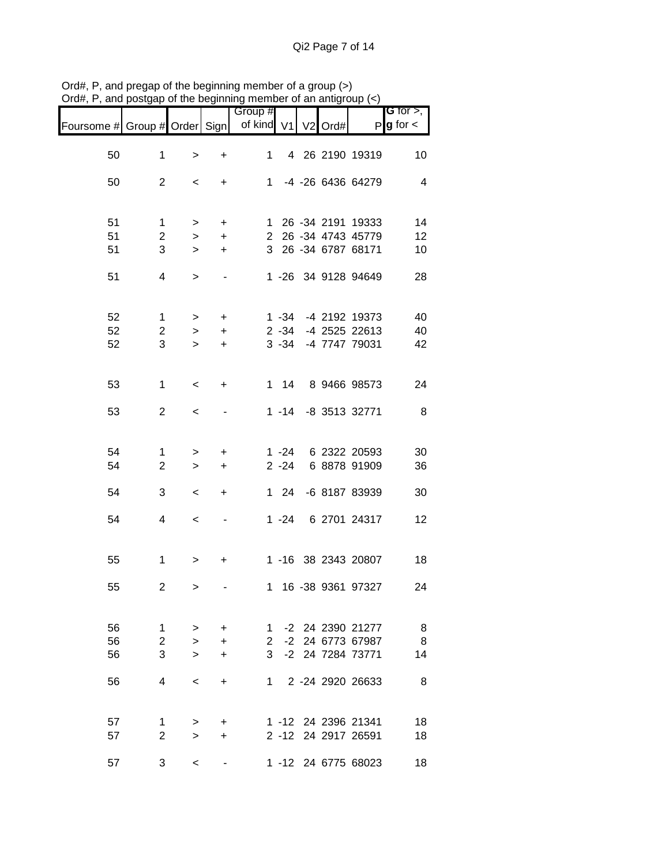|                               |                         |             |                  | Group #                    |          |  |                     | G for $>$ ,     |
|-------------------------------|-------------------------|-------------|------------------|----------------------------|----------|--|---------------------|-----------------|
| Foursome # Group # Order Sign |                         |             |                  | of kind V1 V2 Ord#         |          |  |                     | $P g$ for $\lt$ |
| 50                            | $\mathbf 1$             | $\, >$      | $\ddot{}$        | 1                          |          |  | 4 26 2190 19319     | 10              |
| 50                            | $\overline{2}$          | $\,<\,$     | $+$              |                            |          |  | 1 -4 -26 6436 64279 | $\overline{4}$  |
|                               |                         |             |                  |                            |          |  |                     |                 |
| 51                            | $\mathbf{1}$            | $\geq$      | $+$              |                            |          |  | 1 26 -34 2191 19333 | 14              |
| 51                            | $\overline{2}$          | $\geq$      | $+$              |                            |          |  | 2 26 -34 4743 45779 | 12              |
| 51                            | 3                       | $\geq$      | $+$              |                            |          |  | 3 26 -34 6787 68171 | 10              |
| 51                            | 4                       | $\, >$      |                  |                            |          |  | 1 -26 34 9128 94649 | 28              |
| 52                            | 1                       | $\geq$      | $+$              |                            |          |  | 1 -34 -4 2192 19373 | 40              |
| 52                            | $\overline{2}$          | $\geq$      | $+$              |                            |          |  | 2 -34 -4 2525 22613 | 40              |
| 52                            | 3                       | $\geq$      | $+$              |                            |          |  | 3 -34 -4 7747 79031 | 42              |
| 53                            | $\mathbf 1$             | $\,<\,$     | $+$              |                            |          |  | 1 14 8 9466 98573   | 24              |
| 53                            | $\overline{2}$          | $\,<$       |                  |                            |          |  | 1 -14 -8 3513 32771 | 8               |
| 54                            | $\mathbf 1$             | $\,$        | $\ddot{}$        |                            |          |  | 1 -24 6 2322 20593  | 30              |
| 54                            | $\overline{2}$          | $\geq$      | $+$              |                            | $2 - 24$ |  | 6 8878 91909        | 36              |
| 54                            | 3                       | $\,<\,$     | $\ddot{}$        |                            |          |  | 1 24 -6 8187 83939  | 30              |
| 54                            | 4                       | $\,<\,$     |                  |                            |          |  | 1 -24 6 2701 24317  | 12              |
| 55                            | $\mathbf{1}$            | $\, > \,$   | $\ddot{}$        |                            |          |  | 1 -16 38 2343 20807 | 18              |
| 55                            | $\overline{\mathbf{c}}$ | $\,>\,$     |                  |                            |          |  | 1 16 -38 9361 97327 | 24              |
| 56                            | 1                       |             |                  |                            |          |  | -2 24 2390 21277    |                 |
| 56                            | $\overline{2}$          | ><br>$\geq$ | $\ddot{}$<br>$+$ | 1<br>$\mathbf{2}^{\prime}$ |          |  | -2 24 6773 67987    | 8<br>8          |
| 56                            | 3 <sup>1</sup>          | $\geq$      | $\ddot{}$        |                            |          |  | 3 -2 24 7284 73771  | 14              |
|                               |                         |             |                  |                            |          |  |                     |                 |
| 56                            | 4                       | $\,<\,$     | $\ddot{}$        | 1.                         |          |  | 2 -24 2920 26633    | 8               |
| 57                            | 1                       | >           | $+$              |                            |          |  | 1 -12 24 2396 21341 | 18              |
| 57                            | $\overline{2}$          | $\geq$      | $+$              |                            |          |  | 2 -12 24 2917 26591 | 18              |
| 57                            | 3                       | $\,<\,$     |                  |                            |          |  | 1 -12 24 6775 68023 | 18              |

Ord#, P, and pregap of the beginning member of a group (>) Ord#, P, and postgap of the beginning member of an antigroup (<)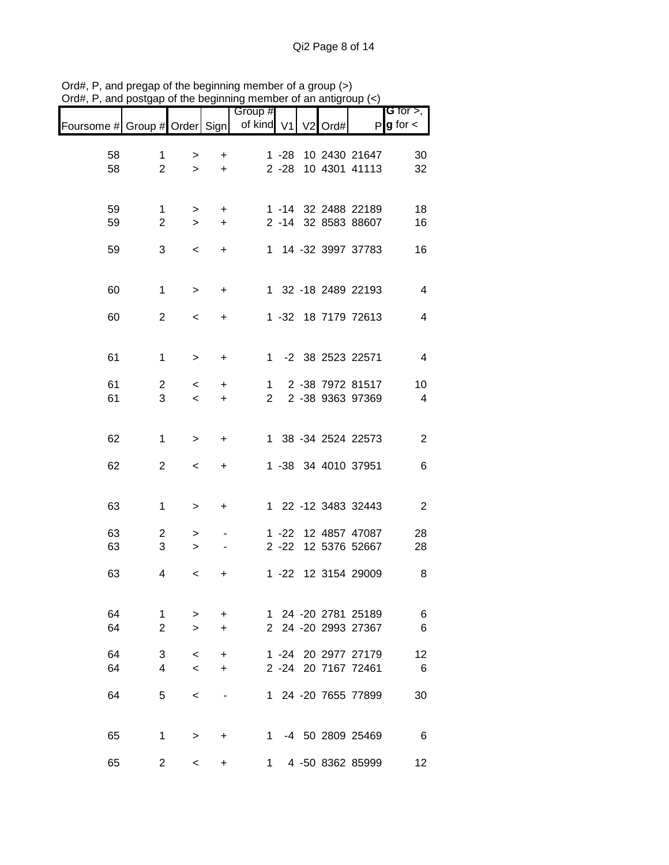| $U$ iu#, r , and postyap or the beginning member or an antigroup (<) |                |                    |                        |                       |          |                |      |                                            |                              |
|----------------------------------------------------------------------|----------------|--------------------|------------------------|-----------------------|----------|----------------|------|--------------------------------------------|------------------------------|
| Foursome # Group # Order Sign                                        |                |                    |                        | Group #<br>of kind V1 |          | V <sub>2</sub> | Ord# | P                                          | G for $>$ ,<br>$g$ for $\lt$ |
| 58                                                                   | 1              |                    |                        |                       | $1 - 28$ |                |      | 10 2430 21647                              | 30                           |
| 58                                                                   | $\overline{2}$ | ><br>$\geq$        | $\ddot{}$<br>$\ddot{}$ |                       | $2 - 28$ |                |      | 10 4301 41113                              | 32                           |
|                                                                      |                |                    |                        |                       |          |                |      |                                            |                              |
| 59                                                                   | 1              | $\,>$              | $\ddot{}$              |                       |          |                |      | 1 -14 32 2488 22189                        | 18                           |
| 59                                                                   | $\overline{2}$ | $\geq$             | $\ddot{}$              |                       |          |                |      | 2 -14 32 8583 88607                        | 16                           |
| 59                                                                   | 3              | $\,<\,$            | $\ddot{}$              |                       |          |                |      | 1 14 -32 3997 37783                        | 16                           |
| 60                                                                   | 1              | $\,$               | $\ddot{}$              |                       |          |                |      | 1 32 -18 2489 22193                        | 4                            |
| 60                                                                   | $\overline{2}$ | $\,<\,$            | $\ddot{}$              |                       |          |                |      | 1 -32 18 7179 72613                        | 4                            |
| 61                                                                   | 1              | $\, > \,$          | +                      |                       |          |                |      | 1 -2 38 2523 22571                         | 4                            |
|                                                                      |                |                    |                        |                       |          |                |      |                                            |                              |
| 61<br>61                                                             | 2<br>3         | $\,<\,$<br>$\,<$   | +<br>$\ddot{}$         | 1<br>$\mathbf{2}$     |          |                |      | 2 -38 7972 81517<br>2 -38 9363 97369       | 10<br>4                      |
|                                                                      |                |                    |                        |                       |          |                |      |                                            |                              |
| 62                                                                   | 1              | >                  | $\ddot{}$              |                       |          |                |      | 1 38 -34 2524 22573                        | $\overline{2}$               |
| 62                                                                   | $\overline{2}$ | $\,<\,$            | $\ddot{}$              |                       |          |                |      | 1 -38 34 4010 37951                        | 6                            |
| 63                                                                   | 1              | >                  | $\ddot{}$              |                       |          |                |      | 1 22 -12 3483 32443                        | $\overline{2}$               |
| 63                                                                   | 2              | >                  |                        |                       | $1 - 22$ |                |      | 12 4857 47087                              | 28                           |
| 63                                                                   | 3              | >                  |                        |                       | $2 - 22$ |                |      | 12 5376 52667                              | 28                           |
| 63                                                                   | 4              | <                  | +                      |                       |          |                |      | 1 -22 12 3154 29009                        | 8                            |
| 64                                                                   | 1              |                    |                        |                       |          |                |      | 1 24 -20 2781 25189                        |                              |
| 64                                                                   | 2              | ><br>$\geq$        | $\ddot{}$<br>$\ddot{}$ |                       |          |                |      | 2 24 -20 2993 27367                        | 6<br>6                       |
|                                                                      |                |                    |                        |                       |          |                |      |                                            |                              |
| 64<br>64                                                             | 3<br>4         | $\prec$<br>$\prec$ | $\ddot{}$<br>$\ddot{}$ |                       |          |                |      | 1 -24 20 2977 27179<br>2 -24 20 7167 72461 | 12<br>- 6                    |
|                                                                      |                |                    |                        |                       |          |                |      |                                            |                              |
| 64                                                                   | 5              | $\,<\,$            |                        |                       |          |                |      | 1 24 -20 7655 77899                        | 30                           |
| 65                                                                   | 1              | $\, > \,$          | $\ddot{}$              |                       |          |                |      | 1 -4 50 2809 25469                         | 6                            |
| 65                                                                   | $\overline{2}$ | $\prec$            | +                      |                       |          |                |      | 1 4 -50 8362 85999                         | 12                           |

Ord#, P, and pregap of the beginning member of a group (>) Ord#, P, and postgap of the beginning member of an antigroup (<)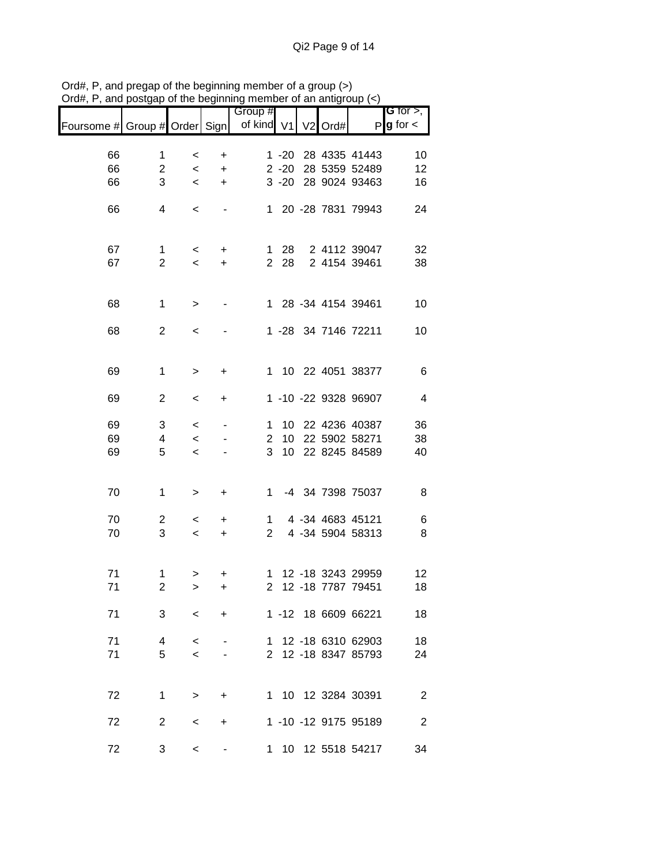| лu <del>п</del> ,             | and postgap or the beginning member or an antigroup $(\leq)$ |         |           |                |          |                     |                      |                        |
|-------------------------------|--------------------------------------------------------------|---------|-----------|----------------|----------|---------------------|----------------------|------------------------|
|                               |                                                              |         |           | Group #        |          |                     |                      | G for $>$ ,            |
| Foursome # Group # Order Sign |                                                              |         |           | of kind V1     |          | V <sub>2</sub> Ord# |                      | $P$ <b>g</b> for $\lt$ |
|                               |                                                              |         |           |                |          |                     |                      |                        |
| 66                            | 1                                                            | $\,<\,$ | +         |                | $1 - 20$ |                     | 28 4335 41443        | 10                     |
| 66                            | $\overline{2}$                                               | $\,<\,$ | $\ddot{}$ |                | $2 - 20$ |                     | 28 5359 52489        | 12                     |
| 66                            | 3                                                            | $\prec$ | $\ddot{}$ |                |          |                     | 3 -20 28 9024 93463  | 16                     |
|                               |                                                              |         |           |                |          |                     |                      |                        |
| 66                            | 4                                                            | $\,<\,$ |           |                |          |                     | 1 20 -28 7831 79943  | 24                     |
|                               |                                                              |         |           |                |          |                     |                      |                        |
|                               |                                                              |         |           |                |          |                     |                      |                        |
| 67                            | 1                                                            | $\,<\,$ | $\ddot{}$ |                | $128$    |                     | 2 4112 39047         | 32                     |
| 67                            | $\overline{2}$                                               | $\,<$   | $\ddot{}$ |                | 2 28     |                     | 2 4154 39461         | 38                     |
|                               |                                                              |         |           |                |          |                     |                      |                        |
|                               |                                                              |         |           |                |          |                     |                      |                        |
| 68                            | $\mathbf{1}$                                                 | $\,>$   |           |                |          |                     | 1 28 -34 4154 39461  | 10                     |
|                               |                                                              |         |           |                |          |                     |                      |                        |
| 68                            | $\overline{c}$                                               | $\,<\,$ |           |                |          |                     | 1 -28 34 7146 72211  | 10                     |
|                               |                                                              |         |           |                |          |                     |                      |                        |
|                               |                                                              |         |           |                |          |                     |                      |                        |
| 69                            | 1                                                            | >       | +         |                |          |                     | 1 10 22 4051 38377   | 6                      |
|                               |                                                              |         |           |                |          |                     |                      |                        |
| 69                            | $\overline{c}$                                               | $\,<\,$ | +         |                |          |                     | 1 -10 -22 9328 96907 | 4                      |
|                               |                                                              |         |           |                |          |                     |                      |                        |
| 69                            | 3                                                            | $\,<$   |           | 1.             | 10       |                     | 22 4236 40387        | 36                     |
| 69                            | 4                                                            | $\prec$ |           | $\overline{2}$ | 10       |                     | 22 5902 58271        | 38                     |
| 69                            | 5                                                            | $\,<$   |           | 3              | 10       |                     | 22 8245 84589        | 40                     |
|                               |                                                              |         |           |                |          |                     |                      |                        |
|                               |                                                              |         |           |                |          |                     |                      |                        |
| 70                            | 1                                                            | >       | $\ddot{}$ | 1.             |          |                     | -4 34 7398 75037     | 8                      |
|                               |                                                              |         |           |                |          |                     |                      |                        |
| 70                            | $\overline{c}$                                               | $\,<\,$ | $\ddot{}$ | 1              |          |                     | 4 -34 4683 45121     | 6                      |
| 70                            | 3                                                            | $\,<\,$ | $\ddot{}$ | $\mathbf{2}$   |          |                     | 4 -34 5904 58313     | 8                      |
|                               |                                                              |         |           |                |          |                     |                      |                        |
|                               |                                                              |         |           |                |          |                     |                      |                        |
| 71                            | 1                                                            | >       | $\ddot{}$ |                |          |                     | 1 12 -18 3243 29959  | 12                     |
| 71                            | 2                                                            | >       | +         |                |          |                     | 2 12 -18 7787 79451  | 18                     |
|                               |                                                              |         |           |                |          |                     |                      |                        |
| 71                            | 3                                                            | $\lt$   | $\ddot{}$ |                |          |                     | 1 -12 18 6609 66221  | 18                     |
|                               |                                                              |         |           |                |          |                     |                      |                        |
| 71                            | 4                                                            | $\,<\,$ |           |                |          |                     | 1 12 -18 6310 62903  | 18                     |
| 71                            | 5                                                            | $\prec$ |           |                |          |                     | 2 12 -18 8347 85793  | 24                     |
|                               |                                                              |         |           |                |          |                     |                      |                        |
|                               |                                                              |         |           |                |          |                     |                      |                        |
| 72                            | $\mathbf{1}$                                                 | $\geq$  | $\ddot{}$ |                |          |                     | 1 10 12 3284 30391   | 2                      |
|                               |                                                              |         |           |                |          |                     |                      |                        |
| 72                            | $\overline{2}$                                               | $\,<\,$ | +         |                |          |                     | 1 -10 -12 9175 95189 | $\overline{2}$         |
|                               |                                                              |         |           |                |          |                     |                      |                        |
| 72                            | 3                                                            | $\,<\,$ |           |                |          |                     | 1 10 12 5518 54217   | 34                     |

Ord#, P, and pregap of the beginning member of a group (>) Ord#, P, and postgap of the beginning member of an antigroup (<)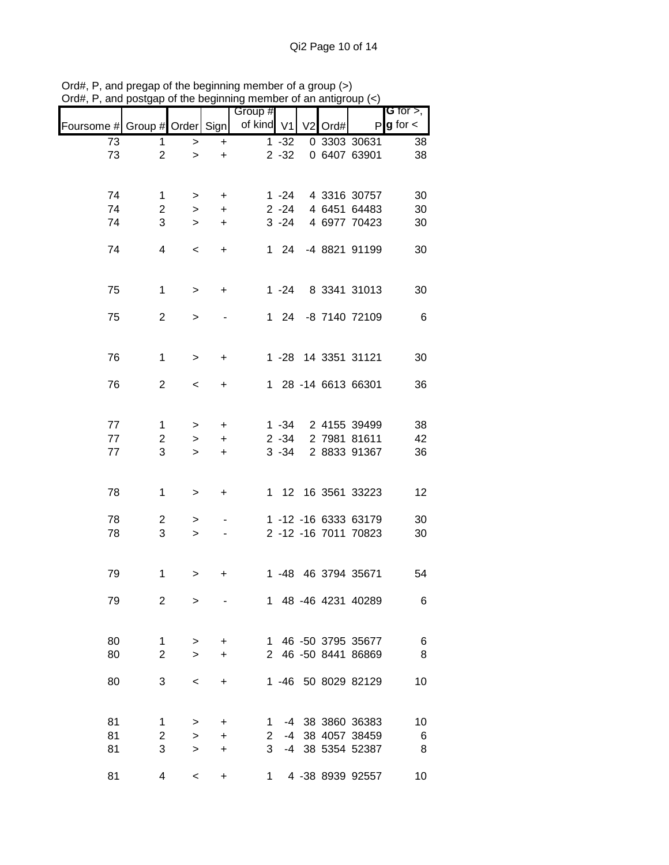|                               |                     |                  |                                  | Group #           |              |                     |                                      | G for $>$ ,            |
|-------------------------------|---------------------|------------------|----------------------------------|-------------------|--------------|---------------------|--------------------------------------|------------------------|
| Foursome # Group # Order Sign |                     |                  |                                  | of kind V1        |              | V <sub>2</sub> Ord# |                                      | $P$ <b>g</b> for $\lt$ |
| $\overline{73}$               | 1                   | $\,>$            | $\ddot{}$                        |                   | $1 - 32$     |                     | 0 3303 30631                         | 38                     |
| 73                            | $\overline{2}$      | $\geq$           | $\ddot{}$                        |                   | $2 - 32$     |                     | 0 6407 63901                         | 38                     |
|                               |                     |                  |                                  |                   |              |                     |                                      |                        |
| 74                            | $\mathbf 1$         | >                | +                                |                   | $1 - 24$     |                     | 4 3316 30757                         | 30                     |
| 74                            | $\overline{2}$      | $\geq$           | $\ddot{}$                        |                   | $2 - 24$     |                     | 4 6451 64483                         | 30                     |
| 74                            | 3                   | $\geq$           | $\ddot{}$                        |                   | $3 - 24$     |                     | 4 6977 70423                         | 30                     |
| 74                            | 4                   | $\,<\,$          | $\ddot{}$                        |                   | $1 \quad 24$ |                     | -4 8821 91199                        | 30                     |
|                               |                     |                  |                                  |                   |              |                     |                                      |                        |
|                               |                     |                  |                                  |                   |              |                     |                                      |                        |
| 75                            | $\mathbf 1$         | $\,>$            | $\ddot{}$                        |                   | $1 - 24$     |                     | 8 3341 31013                         | 30                     |
| 75                            | $\overline{2}$      | >                |                                  |                   |              |                     | 1 24 -8 7140 72109                   | 6                      |
|                               |                     |                  |                                  |                   |              |                     |                                      |                        |
| 76                            | $\mathbf{1}$        |                  |                                  |                   |              |                     | 1 -28 14 3351 31121                  |                        |
|                               |                     | $\geq$           | $\ddot{}$                        |                   |              |                     |                                      | 30                     |
| 76                            | $\overline{2}$      | $\,<\,$          | $\ddot{}$                        |                   |              |                     | 1 28 -14 6613 66301                  | 36                     |
|                               |                     |                  |                                  |                   |              |                     |                                      |                        |
| 77                            | $\mathbf 1$         | >                | $\ddot{}$                        |                   | $1 - 34$     |                     | 2 4155 39499                         | 38                     |
| 77                            | $\overline{c}$      | $\,>$            | $\ddot{}$                        |                   | $2 - 34$     |                     | 2 7981 81611                         | 42                     |
| 77                            | 3                   | $\geq$           | $\ddot{}$                        |                   | $3 - 34$     |                     | 2 8833 91367                         | 36                     |
|                               |                     |                  |                                  |                   |              |                     |                                      |                        |
| 78                            | $\mathbf 1$         | >                | $\begin{array}{c} + \end{array}$ |                   |              |                     | 1 12 16 3561 33223                   | 12                     |
|                               |                     |                  |                                  |                   |              |                     |                                      |                        |
| 78                            | $\overline{2}$      | >                |                                  |                   |              |                     | 1 -12 -16 6333 63179                 | 30                     |
| 78                            | 3                   | $\geq$           |                                  |                   |              |                     | 2 -12 -16 7011 70823                 | 30                     |
|                               |                     |                  |                                  |                   |              |                     |                                      |                        |
| 79                            | 1                   | >                | +                                |                   |              |                     | 1 -48 46 3794 35671                  | 54                     |
|                               |                     |                  |                                  |                   |              |                     |                                      |                        |
| 79                            | 2                   | $\geq$           |                                  |                   |              |                     | 1 48 -46 4231 40289                  | 6                      |
|                               |                     |                  |                                  |                   |              |                     |                                      |                        |
| 80                            | 1                   | >                | $\ddot{}$                        |                   |              |                     | 1 46 -50 3795 35677                  | 6                      |
| 80                            | $\overline{2}$      | $\geq$           | $\ddot{}$                        |                   |              |                     | 2 46 -50 8441 86869                  | 8                      |
| 80                            | 3                   | $\,<\,$          | $\ddot{}$                        |                   |              |                     | 1 -46 50 8029 82129                  | 10                     |
|                               |                     |                  |                                  |                   |              |                     |                                      |                        |
|                               |                     |                  |                                  |                   |              |                     |                                      |                        |
| 81                            | 1                   | >                | $\ddot{}$                        | $\mathbf{1}$      |              |                     | -4 38 3860 36383                     | 10                     |
| 81<br>81                      | $\overline{2}$<br>3 | $\geq$<br>$\geq$ | $\ddot{}$<br>$\ddot{}$           | $\mathbf{2}$<br>3 |              |                     | -4 38 4057 38459<br>-4 38 5354 52387 | 6<br>8                 |
|                               |                     |                  |                                  |                   |              |                     |                                      |                        |
| 81                            | 4                   | $\,<\,$          | +                                |                   |              |                     | 1 4 -38 8939 92557                   | 10                     |

Ord#, P, and pregap of the beginning member of a group (>) Ord#, P, and postgap of the beginning member of an antigroup (<)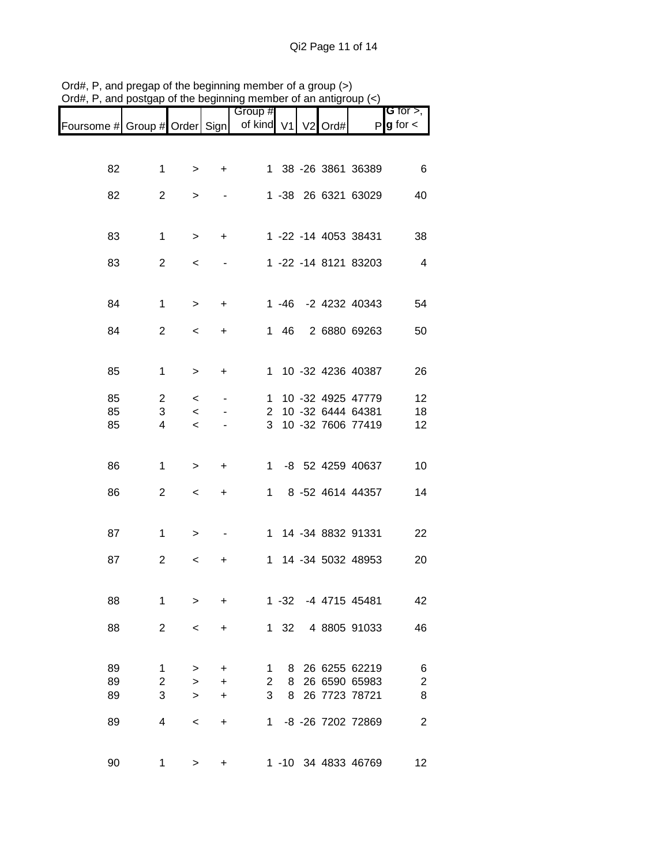|                               |                |                  |                        | Group #                        |              |  |                      | G for $>$ ,                  |
|-------------------------------|----------------|------------------|------------------------|--------------------------------|--------------|--|----------------------|------------------------------|
| Foursome # Group # Order Sign |                |                  |                        | of kind V1 V2 Ord#             |              |  |                      | $P g$ for $\lt$              |
|                               |                |                  |                        |                                |              |  |                      |                              |
| 82                            | 1              | >                | $\ddot{}$              |                                |              |  | 1 38 -26 3861 36389  | 6                            |
|                               |                |                  |                        |                                |              |  |                      |                              |
| 82                            | $\overline{2}$ | >                |                        |                                |              |  | 1 -38 26 6321 63029  | 40                           |
|                               |                |                  |                        |                                |              |  |                      |                              |
| 83                            | 1              | >                | $\ddot{}$              |                                |              |  | 1 -22 -14 4053 38431 | 38                           |
| 83                            | $\overline{c}$ | $\,<\,$          |                        |                                |              |  | 1 -22 -14 8121 83203 | $\overline{4}$               |
|                               |                |                  |                        |                                |              |  |                      |                              |
|                               | 1              |                  |                        |                                |              |  | 1 -46 -2 4232 40343  | 54                           |
| 84                            |                | >                | +                      |                                |              |  |                      |                              |
| 84                            | $\overline{2}$ | $\,<\,$          | $\ddot{}$              |                                | 1 46         |  | 2 6880 69263         | 50                           |
|                               |                |                  |                        |                                |              |  |                      |                              |
| 85                            | 1              | >                | $\ddot{}$              |                                |              |  | 1 10 -32 4236 40387  | 26                           |
| 85                            | $\overline{2}$ |                  |                        | 1                              |              |  | 10 -32 4925 47779    | 12                           |
| 85                            | 3              | $\,<\,$<br>$\,<$ |                        | $\mathbf{2}^{\prime}$          |              |  | 10 -32 6444 64381    | 18                           |
| 85                            | 4              | $\prec$          |                        | 3                              |              |  | 10 -32 7606 77419    | 12                           |
|                               |                |                  |                        |                                |              |  |                      |                              |
|                               |                |                  |                        |                                |              |  |                      |                              |
| 86                            | 1              | >                | $\ddot{}$              |                                |              |  | 1 -8 52 4259 40637   | 10                           |
| 86                            | $\overline{c}$ | $\,<\,$          | $\ddot{}$              | 1.                             |              |  | 8 -52 4614 44357     | 14                           |
|                               |                |                  |                        |                                |              |  |                      |                              |
| 87                            | 1              | >                |                        |                                |              |  | 1 14 -34 8832 91331  | 22                           |
|                               |                |                  |                        |                                |              |  |                      |                              |
| 87                            | $\overline{c}$ | $\,<$            | +                      | 1.                             |              |  | 14 -34 5032 48953    | 20                           |
|                               |                |                  |                        |                                |              |  |                      |                              |
| 88                            | 1              | >                | $\ddot{}$              |                                | $1 - 32$     |  | -4 4715 45481        | 42                           |
| 88                            | $\overline{2}$ | $\,<$            | $\ddot{}$              |                                | $1 \quad 32$ |  | 4 8805 91033         | 46                           |
|                               |                |                  |                        |                                |              |  |                      |                              |
| 89                            | $\mathbf{1}$   |                  |                        |                                | 8            |  | 26 6255 62219        |                              |
| 89                            | $\overline{c}$ | ><br>$\geq$      | $\ddot{}$<br>$\ddot{}$ | $\mathbf{1}$<br>$\overline{2}$ | 8            |  | 26 6590 65983        | 6<br>$\overline{\mathbf{c}}$ |
| 89                            | 3              | $\geq$           | $\ddot{}$              | 3                              | 8            |  | 26 7723 78721        | 8                            |
|                               |                |                  |                        |                                |              |  |                      |                              |
| 89                            | 4              | $\,<\,$          | $\ddot{}$              | 1                              |              |  | -8 -26 7202 72869    | $\overline{2}$               |
|                               |                |                  |                        |                                |              |  |                      |                              |
| 90                            | 1              | >                | +                      |                                |              |  | 1 -10 34 4833 46769  | 12                           |

Ord#, P, and pregap of the beginning member of a group (>) Ord#, P, and postgap of the beginning member of an antigroup (<)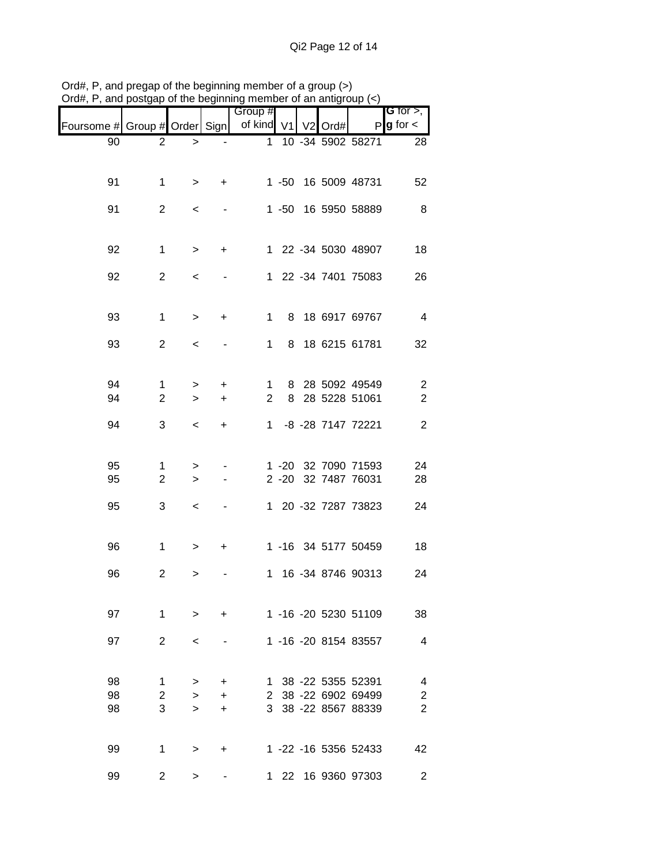| nam, i , and poolgap          |                |              |           | of the beginning member of an antigroup $(\gamma)$<br>Group # |   |  |                      |                                |
|-------------------------------|----------------|--------------|-----------|---------------------------------------------------------------|---|--|----------------------|--------------------------------|
| Foursome # Group # Order Sign |                |              |           | of kind V1 V2 Ord#                                            |   |  |                      | G for $>$ ,<br>$P g$ for $\lt$ |
| 90                            | $\overline{2}$ | $\, > \,$    |           | $\mathbf 1$                                                   |   |  | 10 -34 5902 58271    | 28                             |
|                               |                |              |           |                                                               |   |  |                      |                                |
| 91                            | 1              | $\geq$       | $\ddot{}$ |                                                               |   |  | 1 -50 16 5009 48731  | 52                             |
| 91                            | $\overline{2}$ | $\,<$        |           |                                                               |   |  | 1 -50 16 5950 58889  | 8                              |
|                               |                |              |           |                                                               |   |  |                      |                                |
| 92                            | 1              | $\, > \,$    | +         |                                                               |   |  | 1 22 -34 5030 48907  | 18                             |
| 92                            | $\overline{c}$ | $\,<\,$      |           |                                                               |   |  | 1 22 -34 7401 75083  | 26                             |
|                               |                |              |           |                                                               |   |  |                      |                                |
| 93                            | $\mathbf{1}$   | >            | +         | 1                                                             |   |  | 8 18 6917 69767      | 4                              |
| 93                            | $\overline{2}$ |              |           | 1                                                             | 8 |  | 18 6215 61781        | 32                             |
|                               |                | $\,<\,$      |           |                                                               |   |  |                      |                                |
| 94                            | 1              | >            | $\ddot{}$ | 1                                                             | 8 |  | 28 5092 49549        | 2                              |
| 94                            | $\overline{2}$ | $\mathbf{r}$ | $\ddot{}$ | $\overline{2}$                                                |   |  | 8 28 5228 51061      | $\overline{c}$                 |
| 94                            | 3              | $\,<\,$      | $\ddot{}$ | $\mathbf{1}$                                                  |   |  | -8 -28 7147 72221    | $\overline{2}$                 |
|                               |                |              |           |                                                               |   |  |                      |                                |
| 95                            | 1              | >            |           |                                                               |   |  | 1 -20 32 7090 71593  | 24                             |
| 95                            | $\overline{2}$ | $\, > \,$    |           |                                                               |   |  | 2 -20 32 7487 76031  | 28                             |
| 95                            | 3              | $\,<\,$      |           |                                                               |   |  | 1 20 -32 7287 73823  | 24                             |
|                               |                |              |           |                                                               |   |  |                      |                                |
| 96                            | $\mathbf{1}$   | >            | +         |                                                               |   |  | 1 -16 34 5177 50459  | 18                             |
| 96                            | $\overline{c}$ | >            |           |                                                               |   |  | 1 16 -34 8746 90313  | 24                             |
|                               |                |              |           |                                                               |   |  |                      |                                |
| 97                            | 1              | $\geq$       | $\ddot{}$ |                                                               |   |  | 1 -16 -20 5230 51109 | 38                             |
| 97                            | $\overline{2}$ | $\,<\,$      |           |                                                               |   |  | 1 -16 -20 8154 83557 | 4                              |
|                               |                |              |           |                                                               |   |  |                      |                                |
| 98                            | 1              | >            | $\ddot{}$ | $\mathbf{1}$                                                  |   |  | 38 -22 5355 52391    | 4                              |
| 98                            | $\overline{2}$ | $\geq$       | $+$       |                                                               |   |  | 2 38 -22 6902 69499  | $\overline{\mathbf{c}}$        |
| 98                            | 3              | $\geq$       | $\ddot{}$ |                                                               |   |  | 3 38 -22 8567 88339  | $\overline{2}$                 |
|                               |                |              |           |                                                               |   |  |                      |                                |
| 99                            | 1              | $\geq$       | +         |                                                               |   |  | 1 -22 -16 5356 52433 | 42                             |
| 99                            | $\overline{2}$ | $\geq$       |           |                                                               |   |  | 1 22 16 9360 97303   | 2                              |

Ord#, P, and pregap of the beginning member of a group (>) Ord#, P, and postgap of the beginning member of an antigroup (<)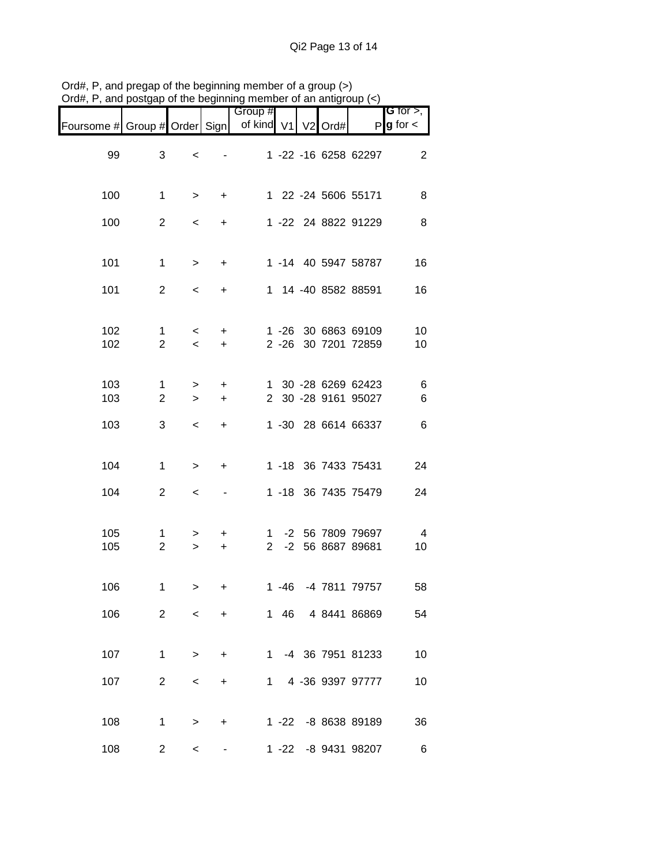| י <del>ש</del> וע, r          | $\alpha$ , and posigap or the beginning member or an antigroup $(\alpha)$ |                                     |                        |                       |          |           |                                            |                                       |
|-------------------------------|---------------------------------------------------------------------------|-------------------------------------|------------------------|-----------------------|----------|-----------|--------------------------------------------|---------------------------------------|
| Foursome # Group # Order Sign |                                                                           |                                     |                        | Group #<br>of kind V1 |          | $V2$ Ord# |                                            | G for $>$ ,<br>$P$ <b>g</b> for $\lt$ |
| 99                            | 3                                                                         | $\,<$                               |                        |                       |          |           | 1 -22 -16 6258 62297                       | 2                                     |
| 100                           | $\mathbf 1$                                                               | $\geq$                              | $\ddot{}$              |                       |          |           | 1 22 -24 5606 55171                        | 8                                     |
| 100                           | $\overline{2}$                                                            | $\,<\,$                             | $\ddot{}$              |                       |          |           | 1 -22 24 8822 91229                        | 8                                     |
| 101                           | $\mathbf 1$                                                               | $\geq$                              | $\ddot{}$              |                       |          |           | 1 -14 40 5947 58787                        | 16                                    |
| 101                           | $\overline{2}$                                                            | $\,<\,$                             | $\ddot{}$              |                       |          |           | 1 14 -40 8582 88591                        | 16                                    |
| 102<br>102                    | 1<br>$\overline{2}$                                                       | $\,<\,$<br>$\overline{\phantom{0}}$ | $\ddot{}$<br>$\ddot{}$ |                       | $2 - 26$ |           | 1 -26 30 6863 69109<br>30 7201 72859       | 10<br>10                              |
| 103<br>103                    | 1<br>$\overline{2}$                                                       | ><br>$\geq$                         | $\ddot{}$<br>$\ddot{}$ |                       |          |           | 1 30 -28 6269 62423<br>2 30 -28 9161 95027 | 6<br>6                                |
| 103                           | 3                                                                         | $\,<\,$                             | $\ddot{}$              |                       |          |           | 1 -30 28 6614 66337                        | 6                                     |
| 104                           | $\mathbf{1}$                                                              | >                                   | +                      |                       |          |           | 1 -18 36 7433 75431                        | 24                                    |
| 104                           | $\overline{2}$                                                            | $\,<\,$                             |                        |                       |          |           | 1 -18 36 7435 75479                        | 24                                    |
| 105<br>105                    | 1<br>$\overline{2}$                                                       | ><br>$\geq$                         | $\ddot{}$<br>$\ddot{}$ | 1<br>$\overline{2}$   |          |           | -2 56 7809 79697<br>-2 56 8687 89681       | 4<br>10                               |
| 106                           | 1.                                                                        | >                                   | $\ddot{}$              |                       |          |           | 1 -46 -4 7811 79757                        | 58                                    |
| 106                           | $2^{\circ}$                                                               | $\leq$                              | $+$                    |                       |          |           | 1 46 4 8441 86869                          | 54                                    |
| 107                           | 1                                                                         |                                     | $>$ +                  |                       |          |           | 1 -4 36 7951 81233                         | 10                                    |
| 107                           |                                                                           | $2^{\circ}$<br>$\lt$                |                        | $+$ $-$               |          |           | 1 4 -36 9397 97777                         | 10                                    |
| 108                           | 1                                                                         | $\geq$                              | $+$                    |                       |          |           | 1 -22 -8 8638 89189                        | 36                                    |
| 108                           | $2^{\circ}$                                                               | $\lt$                               |                        |                       |          |           | 1 -22 -8 9431 98207                        | 6                                     |

Ord#, P, and pregap of the beginning member of a group (>) Ord#, P, and postgap of the beginning member of an antigroup (<)